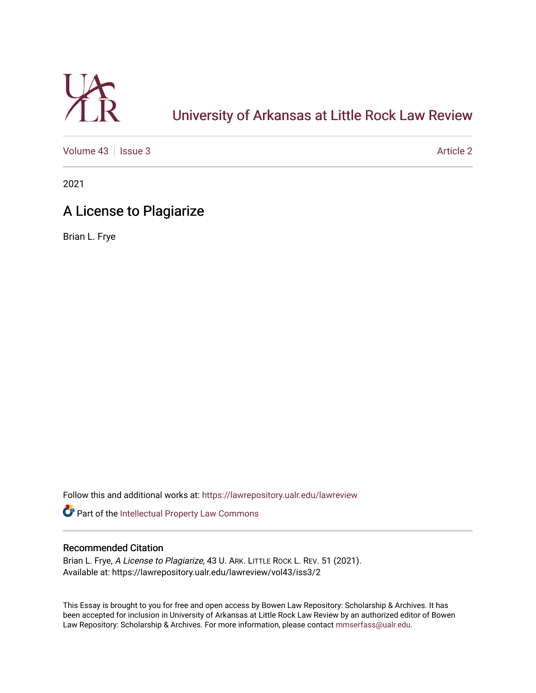

# [University of Arkansas at Little Rock Law Review](https://lawrepository.ualr.edu/lawreview)

[Volume 43](https://lawrepository.ualr.edu/lawreview/vol43) | [Issue 3](https://lawrepository.ualr.edu/lawreview/vol43/iss3) Article 2

2021

## A License to Plagiarize

Brian L. Frye

Follow this and additional works at: [https://lawrepository.ualr.edu/lawreview](https://lawrepository.ualr.edu/lawreview?utm_source=lawrepository.ualr.edu%2Flawreview%2Fvol43%2Fiss3%2F2&utm_medium=PDF&utm_campaign=PDFCoverPages) 

Part of the [Intellectual Property Law Commons](https://network.bepress.com/hgg/discipline/896?utm_source=lawrepository.ualr.edu%2Flawreview%2Fvol43%2Fiss3%2F2&utm_medium=PDF&utm_campaign=PDFCoverPages) 

## Recommended Citation

Brian L. Frye, A License to Plagiarize, 43 U. ARK. LITTLE ROCK L. REV. 51 (2021). Available at: https://lawrepository.ualr.edu/lawreview/vol43/iss3/2

This Essay is brought to you for free and open access by Bowen Law Repository: Scholarship & Archives. It has been accepted for inclusion in University of Arkansas at Little Rock Law Review by an authorized editor of Bowen Law Repository: Scholarship & Archives. For more information, please contact [mmserfass@ualr.edu](mailto:mmserfass@ualr.edu).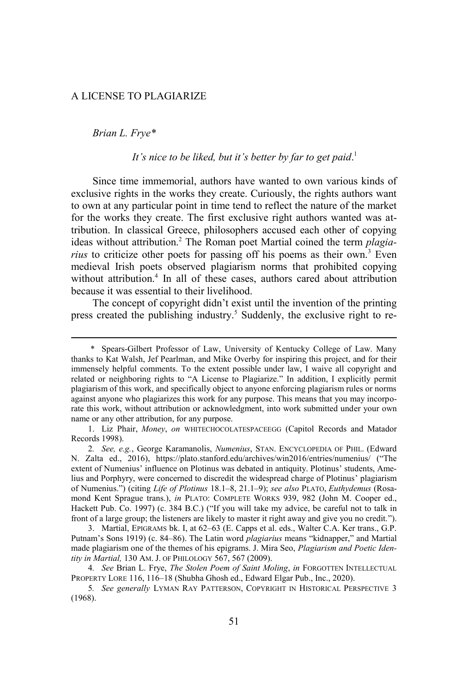#### A LICENSE TO PLAGIARIZE

*Brian L. Frye\**

### *It's nice to be liked, but it's better by far to get paid*. 1

Since time immemorial, authors have wanted to own various kinds of exclusive rights in the works they create. Curiously, the rights authors want to own at any particular point in time tend to reflect the nature of the market for the works they create. The first exclusive right authors wanted was attribution. In classical Greece, philosophers accused each other of copying ideas without attribution.<sup>2</sup> The Roman poet Martial coined the term *plagiarius* to criticize other poets for passing off his poems as their own.<sup>3</sup> Even medieval Irish poets observed plagiarism norms that prohibited copying without attribution.<sup>4</sup> In all of these cases, authors cared about attribution because it was essential to their livelihood.

The concept of copyright didn't exist until the invention of the printing press created the publishing industry.<sup>5</sup> Suddenly, the exclusive right to re-

<sup>\*</sup> Spears-Gilbert Professor of Law, University of Kentucky College of Law. Many thanks to Kat Walsh, Jef Pearlman, and Mike Overby for inspiring this project, and for their immensely helpful comments. To the extent possible under law, I waive all copyright and related or neighboring rights to "A License to Plagiarize." In addition, I explicitly permit plagiarism of this work, and specifically object to anyone enforcing plagiarism rules or norms against anyone who plagiarizes this work for any purpose. This means that you may incorporate this work, without attribution or acknowledgment, into work submitted under your own name or any other attribution, for any purpose.

<sup>1.</sup> Liz Phair, *Money*, *on* WHITECHOCOLATESPACEEGG (Capitol Records and Matador Records 1998).

<sup>2</sup>*. See, e.g.*, George Karamanolis, *Numenius*, STAN. ENCYCLOPEDIA OF PHIL. (Edward N. Zalta ed., 2016), https://plato.stanford.edu/archives/win2016/entries/numenius/ ("The extent of Numenius' influence on Plotinus was debated in antiquity. Plotinus' students, Amelius and Porphyry, were concerned to discredit the widespread charge of Plotinus' plagiarism of Numenius.") (citing *Life of Plotinus* 18.1–8, 21.1–9); *see also* PLATO, *Euthydemus* (Rosamond Kent Sprague trans.), *in* PLATO: COMPLETE WORKS 939, 982 (John M. Cooper ed., Hackett Pub. Co. 1997) (c. 384 B.C.) ("If you will take my advice, be careful not to talk in front of a large group; the listeners are likely to master it right away and give you no credit.").

<sup>3.</sup> Martial, EPIGRAMS bk. I, at 62–63 (E. Capps et al. eds., Walter C.A. Ker trans., G.P. Putnam's Sons 1919) (c. 84–86). The Latin word *plagiarius* means "kidnapper," and Martial made plagiarism one of the themes of his epigrams. J. Mira Seo, *Plagiarism and Poetic Identity in Martial,* 130 AM. J. OF PHILOLOGY 567, 567 (2009).

<sup>4</sup>*. See* Brian L. Frye, *The Stolen Poem of Saint Moling*, *in* FORGOTTEN INTELLECTUAL PROPERTY LORE 116, 116–18 (Shubha Ghosh ed., Edward Elgar Pub., Inc., 2020).

<sup>5</sup>*. See generally* LYMAN RAY PATTERSON, COPYRIGHT IN HISTORICAL PERSPECTIVE 3 (1968).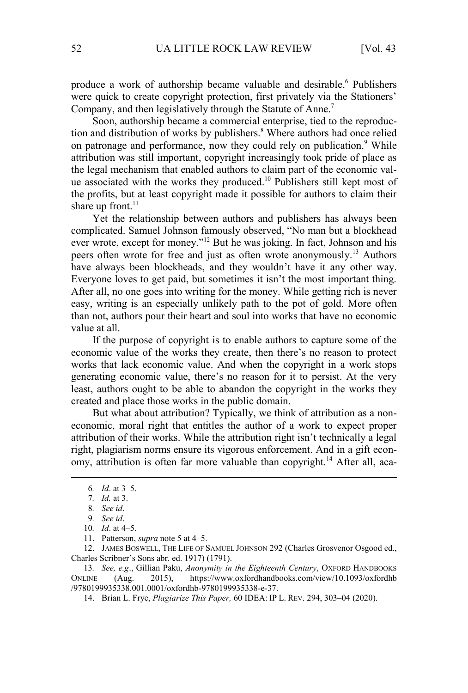produce a work of authorship became valuable and desirable.<sup>6</sup> Publishers were quick to create copyright protection, first privately via the Stationers' Company, and then legislatively through the Statute of Anne.<sup>7</sup>

Soon, authorship became a commercial enterprise, tied to the reproduction and distribution of works by publishers.<sup>8</sup> Where authors had once relied on patronage and performance, now they could rely on publication.<sup>9</sup> While attribution was still important, copyright increasingly took pride of place as the legal mechanism that enabled authors to claim part of the economic value associated with the works they produced.<sup>10</sup> Publishers still kept most of the profits, but at least copyright made it possible for authors to claim their share up front. $11$ 

Yet the relationship between authors and publishers has always been complicated. Samuel Johnson famously observed, "No man but a blockhead ever wrote, except for money."<sup>12</sup> But he was joking. In fact, Johnson and his peers often wrote for free and just as often wrote anonymously.<sup>13</sup> Authors have always been blockheads, and they wouldn't have it any other way. Everyone loves to get paid, but sometimes it isn't the most important thing. After all, no one goes into writing for the money. While getting rich is never easy, writing is an especially unlikely path to the pot of gold. More often than not, authors pour their heart and soul into works that have no economic value at all.

If the purpose of copyright is to enable authors to capture some of the economic value of the works they create, then there's no reason to protect works that lack economic value. And when the copyright in a work stops generating economic value, there's no reason for it to persist. At the very least, authors ought to be able to abandon the copyright in the works they created and place those works in the public domain.

But what about attribution? Typically, we think of attribution as a noneconomic, moral right that entitles the author of a work to expect proper attribution of their works. While the attribution right isn't technically a legal right, plagiarism norms ensure its vigorous enforcement. And in a gift economy, attribution is often far more valuable than copyright.<sup>14</sup> After all, aca-

12. JAMES BOSWELL, THE LIFE OF SAMUEL JOHNSON 292 (Charles Grosvenor Osgood ed., Charles Scribner's Sons abr. ed. 1917) (1791).

13*. See, e.g*., Gillian Paku, *Anonymity in the Eighteenth Century*, OXFORD HANDBOOKS ONLINE (Aug. 2015), https://www.oxfordhandbooks.com/view/10.1093/oxfordhb /9780199935338.001.0001/oxfordhb-9780199935338-e-37.

14. Brian L. Frye, *Plagiarize This Paper,* 60 IDEA: IP L. REV. 294, 303–04 (2020).

<sup>6</sup>*. Id*. at 3–5.

<sup>7</sup>*. Id.* at 3.

<sup>8</sup>*. See id*.

<sup>9</sup>*. See id*.

<sup>10</sup>*. Id*. at 4–5.

<sup>11.</sup> Patterson, *supra* note 5 at 4–5.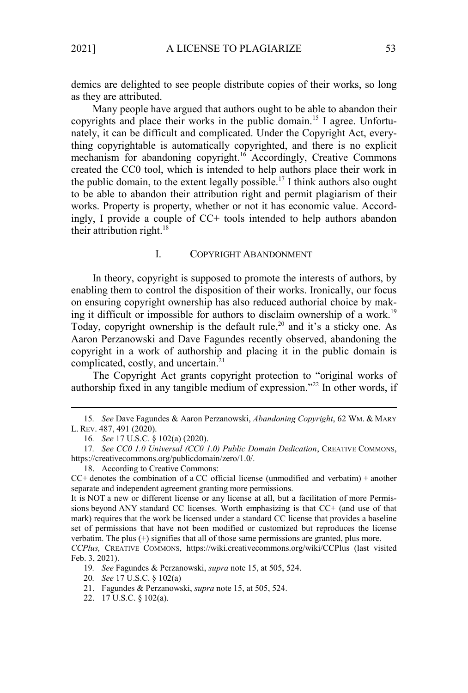demics are delighted to see people distribute copies of their works, so long as they are attributed.

Many people have argued that authors ought to be able to abandon their copyrights and place their works in the public domain.15 I agree. Unfortunately, it can be difficult and complicated. Under the Copyright Act, everything copyrightable is automatically copyrighted, and there is no explicit mechanism for abandoning copyright.<sup>16</sup> Accordingly, Creative Commons created the CC0 tool, which is intended to help authors place their work in the public domain, to the extent legally possible.<sup>17</sup> I think authors also ought to be able to abandon their attribution right and permit plagiarism of their works. Property is property, whether or not it has economic value. Accordingly, I provide a couple of CC+ tools intended to help authors abandon their attribution right. $18$ 

#### I. COPYRIGHT ABANDONMENT

In theory, copyright is supposed to promote the interests of authors, by enabling them to control the disposition of their works. Ironically, our focus on ensuring copyright ownership has also reduced authorial choice by making it difficult or impossible for authors to disclaim ownership of a work.<sup>19</sup> Today, copyright ownership is the default rule,<sup>20</sup> and it's a sticky one. As Aaron Perzanowski and Dave Fagundes recently observed, abandoning the copyright in a work of authorship and placing it in the public domain is complicated, costly, and uncertain.<sup>21</sup>

The Copyright Act grants copyright protection to "original works of authorship fixed in any tangible medium of expression."<sup>22</sup> In other words, if

18. According to Creative Commons:

<sup>15</sup>*. See* Dave Fagundes & Aaron Perzanowski, *Abandoning Copyright*, 62 WM. & MARY L. REV. 487, 491 (2020).

<sup>16</sup>*. See* 17 U.S.C. § 102(a) (2020).

<sup>17</sup>*. See CC0 1.0 Universal (CC0 1.0) Public Domain Dedication*, CREATIVE COMMONS, https://creativecommons.org/publicdomain/zero/1.0/.

 $CC+$  denotes the combination of a CC official license (unmodified and verbatim) + another separate and independent agreement granting more permissions.

It is NOT a new or different license or any license at all, but a facilitation of more Permissions beyond ANY standard CC licenses. Worth emphasizing is that CC+ (and use of that mark) requires that the work be licensed under a standard CC license that provides a baseline set of permissions that have not been modified or customized but reproduces the license verbatim. The plus (+) signifies that all of those same permissions are granted, plus more.

*CCPlus,* CREATIVE COMMONS, https://wiki.creativecommons.org/wiki/CCPlus (last visited Feb. 3, 2021).

<sup>19</sup>*. See* Fagundes & Perzanowski, *supra* note 15, at 505, 524.

<sup>20</sup>*. See* 17 U.S.C. § 102(a)

<sup>21.</sup> Fagundes & Perzanowski, *supra* note 15, at 505, 524.

<sup>22.</sup> 17 U.S.C. § 102(a).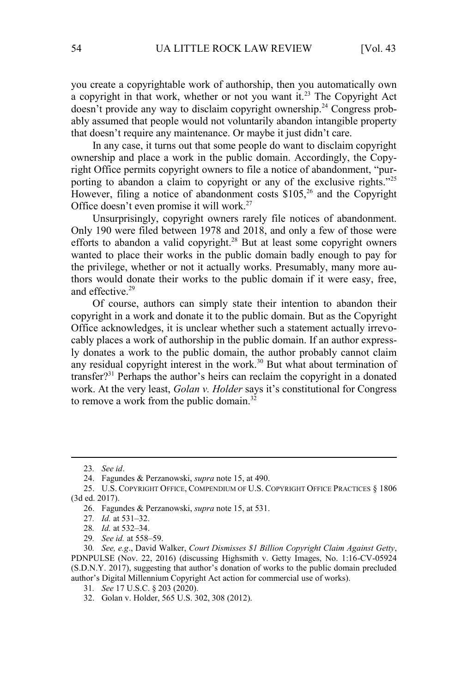you create a copyrightable work of authorship, then you automatically own a copyright in that work, whether or not you want it.<sup>23</sup> The Copyright Act doesn't provide any way to disclaim copyright ownership.24 Congress probably assumed that people would not voluntarily abandon intangible property that doesn't require any maintenance. Or maybe it just didn't care.

In any case, it turns out that some people do want to disclaim copyright ownership and place a work in the public domain. Accordingly, the Copyright Office permits copyright owners to file a notice of abandonment, "purporting to abandon a claim to copyright or any of the exclusive rights."<sup>25</sup> However, filing a notice of abandonment costs \$105,<sup>26</sup> and the Copyright Office doesn't even promise it will work.<sup>27</sup>

Unsurprisingly, copyright owners rarely file notices of abandonment. Only 190 were filed between 1978 and 2018, and only a few of those were efforts to abandon a valid copyright.<sup>28</sup> But at least some copyright owners wanted to place their works in the public domain badly enough to pay for the privilege, whether or not it actually works. Presumably, many more authors would donate their works to the public domain if it were easy, free, and effective.<sup>29</sup>

Of course, authors can simply state their intention to abandon their copyright in a work and donate it to the public domain. But as the Copyright Office acknowledges, it is unclear whether such a statement actually irrevocably places a work of authorship in the public domain. If an author expressly donates a work to the public domain, the author probably cannot claim any residual copyright interest in the work.<sup>30</sup> But what about termination of transfer?<sup>31</sup> Perhaps the author's heirs can reclaim the copyright in a donated work. At the very least, *Golan v. Holder* says it's constitutional for Congress to remove a work from the public domain.<sup>32</sup>

<sup>23</sup>*. See id*.

<sup>24.</sup> Fagundes & Perzanowski, *supra* note 15, at 490.

<sup>25.</sup> U.S. COPYRIGHT OFFICE, COMPENDIUM OF U.S. COPYRIGHT OFFICE PRACTICES § 1806 (3d ed. 2017).

<sup>26.</sup> Fagundes & Perzanowski, *supra* note 15, at 531.

<sup>27</sup>*. Id.* at 531–32.

<sup>28</sup>*. Id.* at 532–34.

<sup>29</sup>*. See id.* at 558–59.

<sup>30</sup>*. See, e.g*., David Walker, *Court Dismisses \$1 Billion Copyright Claim Against Getty*, PDNPULSE (Nov. 22, 2016) (discussing Highsmith v. Getty Images, No. 1:16-CV-05924 (S.D.N.Y. 2017), suggesting that author's donation of works to the public domain precluded author's Digital Millennium Copyright Act action for commercial use of works).

<sup>31</sup>*. See* 17 U.S.C. § 203 (2020).

<sup>32.</sup> Golan v. Holder, 565 U.S. 302, 308 (2012).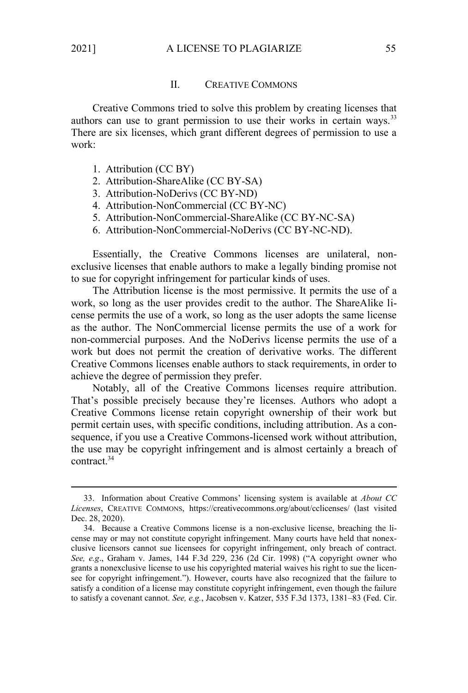#### II. CREATIVE COMMONS

Creative Commons tried to solve this problem by creating licenses that authors can use to grant permission to use their works in certain ways.<sup>33</sup> There are six licenses, which grant different degrees of permission to use a work:

- 1. Attribution (CC BY)
- 2. Attribution-ShareAlike (CC BY-SA)
- 3. Attribution-NoDerivs (CC BY-ND)
- 4. Attribution-NonCommercial (CC BY-NC)
- 5. Attribution-NonCommercial-ShareAlike (CC BY-NC-SA)
- 6. Attribution-NonCommercial-NoDerivs (CC BY-NC-ND).

Essentially, the Creative Commons licenses are unilateral, nonexclusive licenses that enable authors to make a legally binding promise not to sue for copyright infringement for particular kinds of uses.

The Attribution license is the most permissive. It permits the use of a work, so long as the user provides credit to the author. The ShareAlike license permits the use of a work, so long as the user adopts the same license as the author. The NonCommercial license permits the use of a work for non-commercial purposes. And the NoDerivs license permits the use of a work but does not permit the creation of derivative works. The different Creative Commons licenses enable authors to stack requirements, in order to achieve the degree of permission they prefer.

Notably, all of the Creative Commons licenses require attribution. That's possible precisely because they're licenses. Authors who adopt a Creative Commons license retain copyright ownership of their work but permit certain uses, with specific conditions, including attribution. As a consequence, if you use a Creative Commons-licensed work without attribution, the use may be copyright infringement and is almost certainly a breach of contract<sup>34</sup>

<sup>33.</sup> Information about Creative Commons' licensing system is available at *About CC Licenses*, CREATIVE COMMONS, https://creativecommons.org/about/cclicenses/ (last visited Dec. 28, 2020).

<sup>34.</sup> Because a Creative Commons license is a non-exclusive license, breaching the license may or may not constitute copyright infringement. Many courts have held that nonexclusive licensors cannot sue licensees for copyright infringement, only breach of contract. *See, e.g*., Graham v. James, 144 F.3d 229, 236 (2d Cir. 1998) ("A copyright owner who grants a nonexclusive license to use his copyrighted material waives his right to sue the licensee for copyright infringement."). However, courts have also recognized that the failure to satisfy a condition of a license may constitute copyright infringement, even though the failure to satisfy a covenant cannot. *See, e.g.*, Jacobsen v. Katzer, 535 F.3d 1373, 1381–83 (Fed. Cir.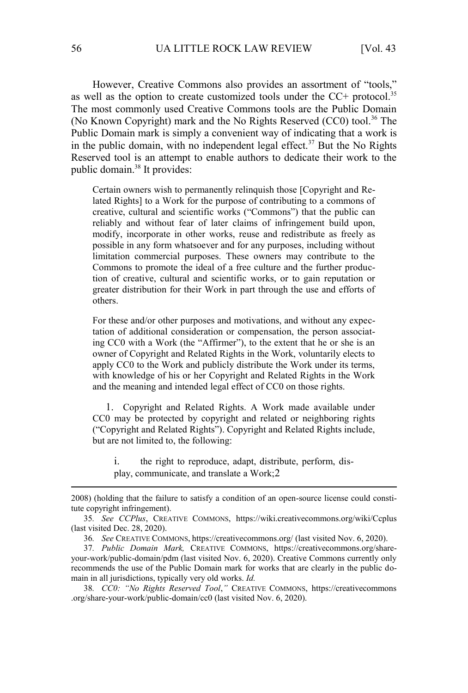However, Creative Commons also provides an assortment of "tools," as well as the option to create customized tools under the CC+ protocol.<sup>35</sup> The most commonly used Creative Commons tools are the Public Domain (No Known Copyright) mark and the No Rights Reserved  $(CCO)$  tool.<sup>36</sup> The Public Domain mark is simply a convenient way of indicating that a work is in the public domain, with no independent legal effect.<sup>37</sup> But the No Rights Reserved tool is an attempt to enable authors to dedicate their work to the public domain.<sup>38</sup> It provides:

Certain owners wish to permanently relinquish those [Copyright and Related Rights] to a Work for the purpose of contributing to a commons of creative, cultural and scientific works ("Commons") that the public can reliably and without fear of later claims of infringement build upon, modify, incorporate in other works, reuse and redistribute as freely as possible in any form whatsoever and for any purposes, including without limitation commercial purposes. These owners may contribute to the Commons to promote the ideal of a free culture and the further production of creative, cultural and scientific works, or to gain reputation or greater distribution for their Work in part through the use and efforts of others.

For these and/or other purposes and motivations, and without any expectation of additional consideration or compensation, the person associating CC0 with a Work (the "Affirmer"), to the extent that he or she is an owner of Copyright and Related Rights in the Work, voluntarily elects to apply CC0 to the Work and publicly distribute the Work under its terms, with knowledge of his or her Copyright and Related Rights in the Work and the meaning and intended legal effect of CC0 on those rights.

1. Copyright and Related Rights. A Work made available under CC0 may be protected by copyright and related or neighboring rights ("Copyright and Related Rights"). Copyright and Related Rights include, but are not limited to, the following:

i. the right to reproduce, adapt, distribute, perform, display, communicate, and translate a Work;2

<sup>2008) (</sup>holding that the failure to satisfy a condition of an open-source license could constitute copyright infringement).

<sup>35</sup>*. See CCPlus*, CREATIVE COMMONS, https://wiki.creativecommons.org/wiki/Ccplus (last visited Dec. 28, 2020).

<sup>36</sup>*. See* CREATIVE COMMONS, https://creativecommons.org/ (last visited Nov. 6, 2020).

<sup>37</sup>*. Public Domain Mark,* CREATIVE COMMONS, https://creativecommons.org/shareyour-work/public-domain/pdm (last visited Nov. 6, 2020). Creative Commons currently only recommends the use of the Public Domain mark for works that are clearly in the public domain in all jurisdictions, typically very old works. *Id.* 

<sup>38</sup>*. CC0: "No Rights Reserved Tool*,*"* CREATIVE COMMONS, https://creativecommons .org/share-your-work/public-domain/cc0 (last visited Nov. 6, 2020).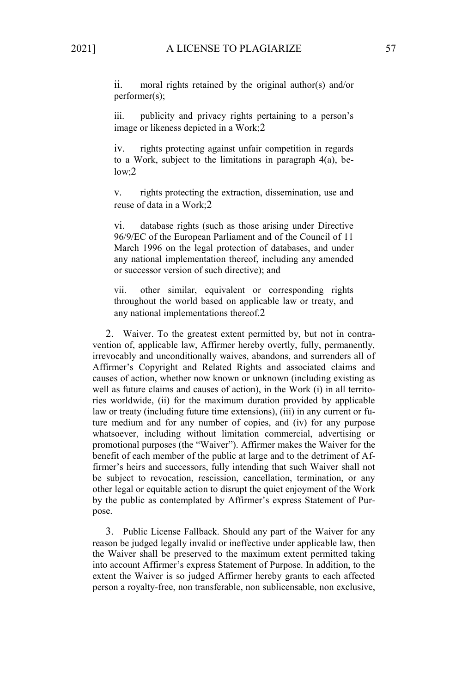ii. moral rights retained by the original author(s) and/or performer(s);

iii. publicity and privacy rights pertaining to a person's image or likeness depicted in a Work;2

iv. rights protecting against unfair competition in regards to a Work, subject to the limitations in paragraph 4(a), below;2

v. rights protecting the extraction, dissemination, use and reuse of data in a Work;2

vi. database rights (such as those arising under Directive 96/9/EC of the European Parliament and of the Council of 11 March 1996 on the legal protection of databases, and under any national implementation thereof, including any amended or successor version of such directive); and

vii. other similar, equivalent or corresponding rights throughout the world based on applicable law or treaty, and any national implementations thereof.2

2. Waiver. To the greatest extent permitted by, but not in contravention of, applicable law, Affirmer hereby overtly, fully, permanently, irrevocably and unconditionally waives, abandons, and surrenders all of Affirmer's Copyright and Related Rights and associated claims and causes of action, whether now known or unknown (including existing as well as future claims and causes of action), in the Work (i) in all territories worldwide, (ii) for the maximum duration provided by applicable law or treaty (including future time extensions), (iii) in any current or future medium and for any number of copies, and (iv) for any purpose whatsoever, including without limitation commercial, advertising or promotional purposes (the "Waiver"). Affirmer makes the Waiver for the benefit of each member of the public at large and to the detriment of Affirmer's heirs and successors, fully intending that such Waiver shall not be subject to revocation, rescission, cancellation, termination, or any other legal or equitable action to disrupt the quiet enjoyment of the Work by the public as contemplated by Affirmer's express Statement of Purpose.

3. Public License Fallback. Should any part of the Waiver for any reason be judged legally invalid or ineffective under applicable law, then the Waiver shall be preserved to the maximum extent permitted taking into account Affirmer's express Statement of Purpose. In addition, to the extent the Waiver is so judged Affirmer hereby grants to each affected person a royalty-free, non transferable, non sublicensable, non exclusive,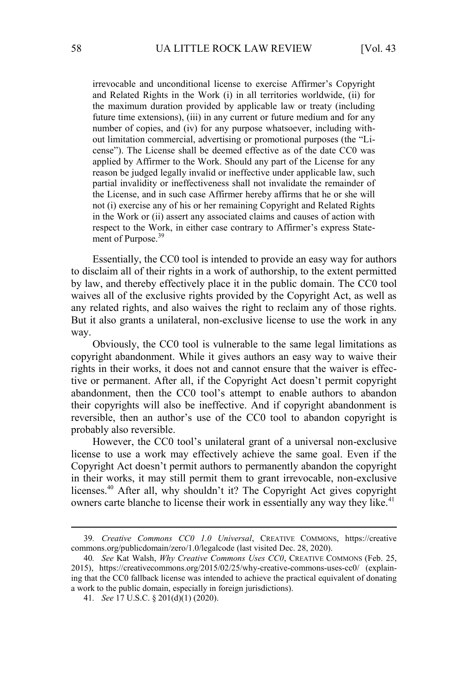irrevocable and unconditional license to exercise Affirmer's Copyright and Related Rights in the Work (i) in all territories worldwide, (ii) for the maximum duration provided by applicable law or treaty (including future time extensions), (iii) in any current or future medium and for any number of copies, and (iv) for any purpose whatsoever, including without limitation commercial, advertising or promotional purposes (the "License"). The License shall be deemed effective as of the date CC0 was applied by Affirmer to the Work. Should any part of the License for any reason be judged legally invalid or ineffective under applicable law, such partial invalidity or ineffectiveness shall not invalidate the remainder of the License, and in such case Affirmer hereby affirms that he or she will not (i) exercise any of his or her remaining Copyright and Related Rights in the Work or (ii) assert any associated claims and causes of action with respect to the Work, in either case contrary to Affirmer's express Statement of Purpose.<sup>39</sup>

Essentially, the CC0 tool is intended to provide an easy way for authors to disclaim all of their rights in a work of authorship, to the extent permitted by law, and thereby effectively place it in the public domain. The CC0 tool waives all of the exclusive rights provided by the Copyright Act, as well as any related rights, and also waives the right to reclaim any of those rights. But it also grants a unilateral, non-exclusive license to use the work in any way.

Obviously, the CC0 tool is vulnerable to the same legal limitations as copyright abandonment. While it gives authors an easy way to waive their rights in their works, it does not and cannot ensure that the waiver is effective or permanent. After all, if the Copyright Act doesn't permit copyright abandonment, then the CC0 tool's attempt to enable authors to abandon their copyrights will also be ineffective. And if copyright abandonment is reversible, then an author's use of the CC0 tool to abandon copyright is probably also reversible.

However, the CC0 tool's unilateral grant of a universal non-exclusive license to use a work may effectively achieve the same goal. Even if the Copyright Act doesn't permit authors to permanently abandon the copyright in their works, it may still permit them to grant irrevocable, non-exclusive licenses.<sup>40</sup> After all, why shouldn't it? The Copyright Act gives copyright owners carte blanche to license their work in essentially any way they like.<sup>41</sup>

<sup>39</sup>*. Creative Commons CC0 1.0 Universal*, CREATIVE COMMONS, https://creative commons.org/publicdomain/zero/1.0/legalcode (last visited Dec. 28, 2020).

<sup>40</sup>*. See* Kat Walsh, *Why Creative Commons Uses CC0*, CREATIVE COMMONS (Feb. 25, 2015), https://creativecommons.org/2015/02/25/why-creative-commons-uses-cc0/ (explaining that the CC0 fallback license was intended to achieve the practical equivalent of donating a work to the public domain, especially in foreign jurisdictions).

<sup>41</sup>*. See* 17 U.S.C. § 201(d)(1) (2020).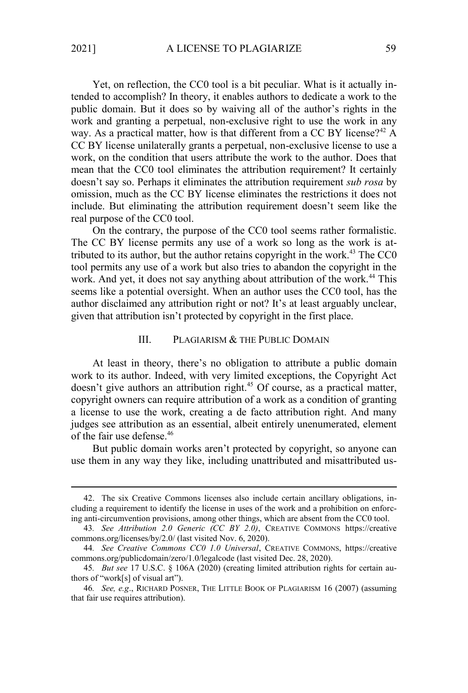Yet, on reflection, the CC0 tool is a bit peculiar. What is it actually intended to accomplish? In theory, it enables authors to dedicate a work to the public domain. But it does so by waiving all of the author's rights in the work and granting a perpetual, non-exclusive right to use the work in any way. As a practical matter, how is that different from a CC BY license?<sup>42</sup> A CC BY license unilaterally grants a perpetual, non-exclusive license to use a work, on the condition that users attribute the work to the author. Does that mean that the CC0 tool eliminates the attribution requirement? It certainly doesn't say so. Perhaps it eliminates the attribution requirement *sub rosa* by omission, much as the CC BY license eliminates the restrictions it does not include. But eliminating the attribution requirement doesn't seem like the real purpose of the CC0 tool.

On the contrary, the purpose of the CC0 tool seems rather formalistic. The CC BY license permits any use of a work so long as the work is attributed to its author, but the author retains copyright in the work.<sup>43</sup> The CC0 tool permits any use of a work but also tries to abandon the copyright in the work. And yet, it does not say anything about attribution of the work.<sup>44</sup> This seems like a potential oversight. When an author uses the CC0 tool, has the author disclaimed any attribution right or not? It's at least arguably unclear, given that attribution isn't protected by copyright in the first place.

#### III. PLAGIARISM & THE PUBLIC DOMAIN

At least in theory, there's no obligation to attribute a public domain work to its author. Indeed, with very limited exceptions, the Copyright Act doesn't give authors an attribution right.<sup>45</sup> Of course, as a practical matter, copyright owners can require attribution of a work as a condition of granting a license to use the work, creating a de facto attribution right. And many judges see attribution as an essential, albeit entirely unenumerated, element of the fair use defense.<sup>46</sup>

But public domain works aren't protected by copyright, so anyone can use them in any way they like, including unattributed and misattributed us-

<sup>42.</sup> The six Creative Commons licenses also include certain ancillary obligations, including a requirement to identify the license in uses of the work and a prohibition on enforcing anti-circumvention provisions, among other things, which are absent from the CC0 tool.

<sup>43</sup>*. See Attribution 2.0 Generic (CC BY 2.0)*, CREATIVE COMMONS https://creative commons.org/licenses/by/2.0/ (last visited Nov. 6, 2020).

<sup>44</sup>*. See Creative Commons CC0 1.0 Universal*, CREATIVE COMMONS, https://creative commons.org/publicdomain/zero/1.0/legalcode (last visited Dec. 28, 2020).

<sup>45</sup>*. But see* 17 U.S.C. § 106A (2020) (creating limited attribution rights for certain authors of "work[s] of visual art").

<sup>46</sup>*. See, e.g*., RICHARD POSNER, THE LITTLE BOOK OF PLAGIARISM 16 (2007) (assuming that fair use requires attribution).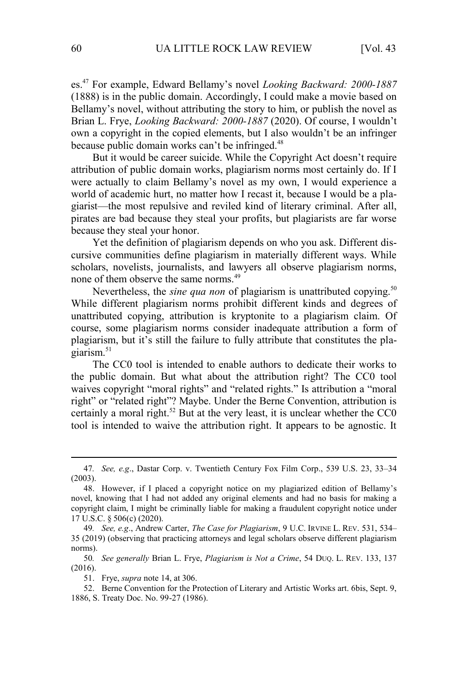es.<sup>47</sup> For example, Edward Bellamy's novel *Looking Backward: 2000-1887* (1888) is in the public domain. Accordingly, I could make a movie based on Bellamy's novel, without attributing the story to him, or publish the novel as Brian L. Frye, *Looking Backward: 2000-1887* (2020). Of course, I wouldn't own a copyright in the copied elements, but I also wouldn't be an infringer because public domain works can't be infringed.<sup>48</sup>

But it would be career suicide. While the Copyright Act doesn't require attribution of public domain works, plagiarism norms most certainly do. If I were actually to claim Bellamy's novel as my own, I would experience a world of academic hurt, no matter how I recast it, because I would be a plagiarist—the most repulsive and reviled kind of literary criminal. After all, pirates are bad because they steal your profits, but plagiarists are far worse because they steal your honor.

Yet the definition of plagiarism depends on who you ask. Different discursive communities define plagiarism in materially different ways. While scholars, novelists, journalists, and lawyers all observe plagiarism norms, none of them observe the same norms.<sup>49</sup>

Nevertheless, the *sine qua non* of plagiarism is unattributed copying.<sup>50</sup> While different plagiarism norms prohibit different kinds and degrees of unattributed copying, attribution is kryptonite to a plagiarism claim. Of course, some plagiarism norms consider inadequate attribution a form of plagiarism, but it's still the failure to fully attribute that constitutes the plagiarism. $51$ 

The CC0 tool is intended to enable authors to dedicate their works to the public domain. But what about the attribution right? The CC0 tool waives copyright "moral rights" and "related rights." Is attribution a "moral right" or "related right"? Maybe. Under the Berne Convention, attribution is certainly a moral right. $52$  But at the very least, it is unclear whether the CC0 tool is intended to waive the attribution right. It appears to be agnostic. It

<sup>47</sup>*. See, e.g*., Dastar Corp. v. Twentieth Century Fox Film Corp., 539 U.S. 23, 33–34 (2003).

<sup>48.</sup> However, if I placed a copyright notice on my plagiarized edition of Bellamy's novel, knowing that I had not added any original elements and had no basis for making a copyright claim, I might be criminally liable for making a fraudulent copyright notice under 17 U.S.C. § 506(c) (2020).

<sup>49</sup>*. See, e.g*., Andrew Carter, *The Case for Plagiarism*, 9 U.C. IRVINE L. REV. 531, 534– 35 (2019) (observing that practicing attorneys and legal scholars observe different plagiarism norms).

<sup>50</sup>*. See generally* Brian L. Frye, *Plagiarism is Not a Crime*, 54 DUQ. L. REV. 133, 137 (2016).

<sup>51.</sup> Frye, *supra* note 14, at 306.

<sup>52.</sup> Berne Convention for the Protection of Literary and Artistic Works art. 6bis, Sept. 9, 1886, S. Treaty Doc. No. 99-27 (1986).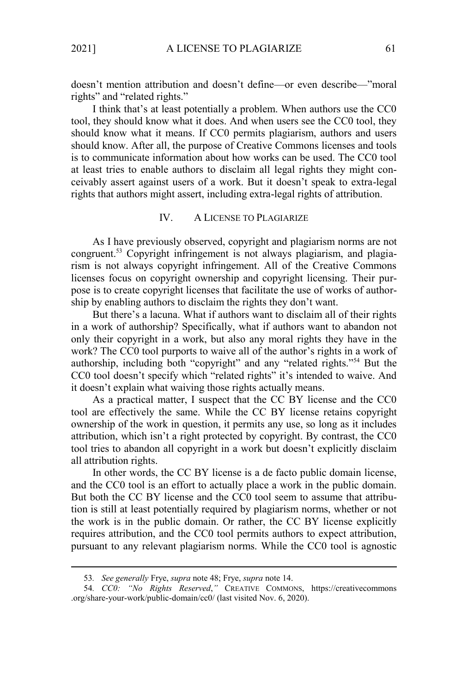doesn't mention attribution and doesn't define—or even describe—"moral rights" and "related rights."

I think that's at least potentially a problem. When authors use the CC0 tool, they should know what it does. And when users see the CC0 tool, they should know what it means. If CC0 permits plagiarism, authors and users should know. After all, the purpose of Creative Commons licenses and tools is to communicate information about how works can be used. The CC0 tool at least tries to enable authors to disclaim all legal rights they might conceivably assert against users of a work. But it doesn't speak to extra-legal rights that authors might assert, including extra-legal rights of attribution.

#### IV. A LICENSE TO PLAGIARIZE

As I have previously observed, copyright and plagiarism norms are not congruent.<sup>53</sup> Copyright infringement is not always plagiarism, and plagiarism is not always copyright infringement. All of the Creative Commons licenses focus on copyright ownership and copyright licensing. Their purpose is to create copyright licenses that facilitate the use of works of authorship by enabling authors to disclaim the rights they don't want.

But there's a lacuna. What if authors want to disclaim all of their rights in a work of authorship? Specifically, what if authors want to abandon not only their copyright in a work, but also any moral rights they have in the work? The CC0 tool purports to waive all of the author's rights in a work of authorship, including both "copyright" and any "related rights."<sup>54</sup> But the CC0 tool doesn't specify which "related rights" it's intended to waive. And it doesn't explain what waiving those rights actually means.

As a practical matter, I suspect that the CC BY license and the CC0 tool are effectively the same. While the CC BY license retains copyright ownership of the work in question, it permits any use, so long as it includes attribution, which isn't a right protected by copyright. By contrast, the CC0 tool tries to abandon all copyright in a work but doesn't explicitly disclaim all attribution rights.

In other words, the CC BY license is a de facto public domain license, and the CC0 tool is an effort to actually place a work in the public domain. But both the CC BY license and the CC0 tool seem to assume that attribution is still at least potentially required by plagiarism norms, whether or not the work is in the public domain. Or rather, the CC BY license explicitly requires attribution, and the CC0 tool permits authors to expect attribution, pursuant to any relevant plagiarism norms. While the CC0 tool is agnostic

<sup>53</sup>*. See generally* Frye, *supra* note 48; Frye, *supra* note 14.

<sup>54</sup>*. CC0: "No Rights Reserved*,*"* CREATIVE COMMONS, https://creativecommons .org/share-your-work/public-domain/cc0/ (last visited Nov. 6, 2020).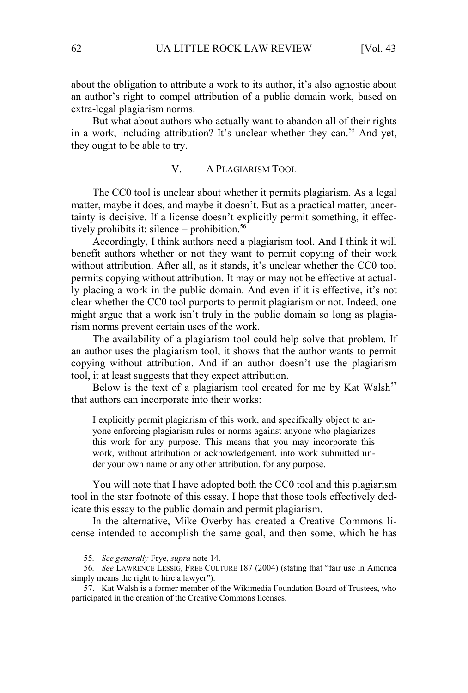about the obligation to attribute a work to its author, it's also agnostic about an author's right to compel attribution of a public domain work, based on extra-legal plagiarism norms.

But what about authors who actually want to abandon all of their rights in a work, including attribution? It's unclear whether they can.<sup>55</sup> And yet, they ought to be able to try.

#### V. A PLAGIARISM TOOL

The CC0 tool is unclear about whether it permits plagiarism. As a legal matter, maybe it does, and maybe it doesn't. But as a practical matter, uncertainty is decisive. If a license doesn't explicitly permit something, it effectively prohibits it: silence  $=$  prohibition.<sup>56</sup>

Accordingly, I think authors need a plagiarism tool. And I think it will benefit authors whether or not they want to permit copying of their work without attribution. After all, as it stands, it's unclear whether the CC0 tool permits copying without attribution. It may or may not be effective at actually placing a work in the public domain. And even if it is effective, it's not clear whether the CC0 tool purports to permit plagiarism or not. Indeed, one might argue that a work isn't truly in the public domain so long as plagiarism norms prevent certain uses of the work.

The availability of a plagiarism tool could help solve that problem. If an author uses the plagiarism tool, it shows that the author wants to permit copying without attribution. And if an author doesn't use the plagiarism tool, it at least suggests that they expect attribution.

Below is the text of a plagiarism tool created for me by Kat Walsh<sup>57</sup> that authors can incorporate into their works:

I explicitly permit plagiarism of this work, and specifically object to anyone enforcing plagiarism rules or norms against anyone who plagiarizes this work for any purpose. This means that you may incorporate this work, without attribution or acknowledgement, into work submitted under your own name or any other attribution, for any purpose.

You will note that I have adopted both the CC0 tool and this plagiarism tool in the star footnote of this essay. I hope that those tools effectively dedicate this essay to the public domain and permit plagiarism.

In the alternative, Mike Overby has created a Creative Commons license intended to accomplish the same goal, and then some, which he has

<sup>55</sup>*. See generally* Frye, *supra* note 14.

<sup>56</sup>*. See* LAWRENCE LESSIG, FREE CULTURE 187 (2004) (stating that "fair use in America simply means the right to hire a lawyer").

<sup>57.</sup> Kat Walsh is a former member of the Wikimedia Foundation Board of Trustees, who participated in the creation of the Creative Commons licenses.